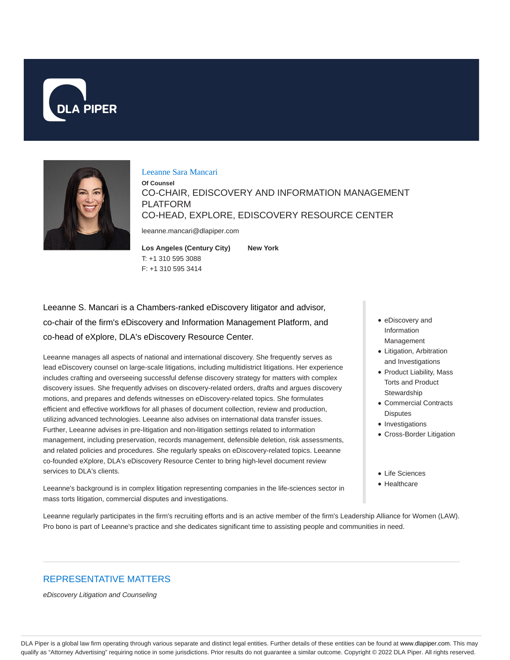



#### Leeanne Sara Mancari

**Of Counsel** CO-CHAIR, EDISCOVERY AND INFORMATION MANAGEMENT PLATFORM CO-HEAD, EXPLORE, EDISCOVERY RESOURCE CENTER

leeanne.mancari@dlapiper.com

**Los Angeles (Century City)** T: +1 310 595 3088 F: +1 310 595 3414 **New York**

Leeanne S. Mancari is a Chambers-ranked eDiscovery litigator and advisor, co-chair of the firm's eDiscovery and Information Management Platform, and co-head of eXplore, DLA's eDiscovery Resource Center.

Leeanne manages all aspects of national and international discovery. She frequently serves as lead eDiscovery counsel on large-scale litigations, including multidistrict litigations. Her experience includes crafting and overseeing successful defense discovery strategy for matters with complex discovery issues. She frequently advises on discovery-related orders, drafts and argues discovery motions, and prepares and defends witnesses on eDiscovery-related topics. She formulates efficient and effective workflows for all phases of document collection, review and production, utilizing advanced technologies. Leeanne also advises on international data transfer issues. Further, Leeanne advises in pre-litigation and non-litigation settings related to information management, including preservation, records management, defensible deletion, risk assessments, and related policies and procedures. She regularly speaks on eDiscovery-related topics. Leeanne co-founded eXplore, DLA's eDiscovery Resource Center to bring high-level document review services to DLA's clients.

Leeanne's background is in complex litigation representing companies in the life-sciences sector in mass torts litigation, commercial disputes and investigations.

- eDiscovery and Information Management
- Litigation, Arbitration and Investigations
- Product Liability, Mass Torts and Product **Stewardship**
- Commercial Contracts **Disputes**
- Investigations
- Cross-Border Litigation
- Life Sciences
- Healthcare

Leeanne regularly participates in the firm's recruiting efforts and is an active member of the firm's Leadership Alliance for Women (LAW). Pro bono is part of Leeanne's practice and she dedicates significant time to assisting people and communities in need.

## REPRESENTATIVE MATTERS

eDiscovery Litigation and Counseling

DLA Piper is a global law firm operating through various separate and distinct legal entities. Further details of these entities can be found at www.dlapiper.com. This may qualify as "Attorney Advertising" requiring notice in some jurisdictions. Prior results do not guarantee a similar outcome. Copyright @ 2022 DLA Piper. All rights reserved.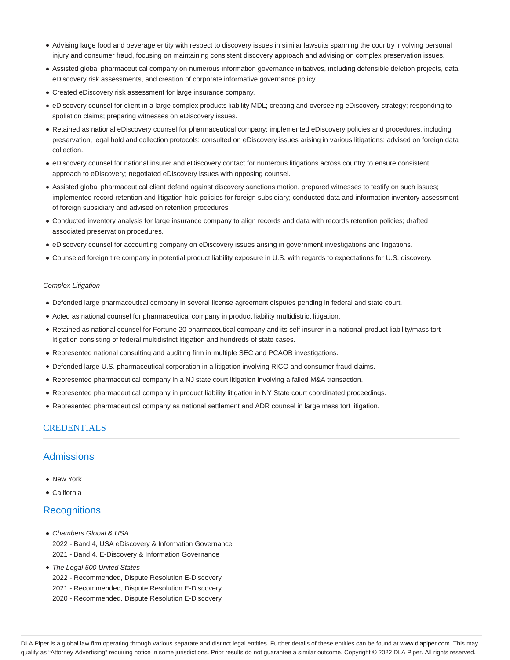- Advising large food and beverage entity with respect to discovery issues in similar lawsuits spanning the country involving personal injury and consumer fraud, focusing on maintaining consistent discovery approach and advising on complex preservation issues.
- Assisted global pharmaceutical company on numerous information governance initiatives, including defensible deletion projects, data eDiscovery risk assessments, and creation of corporate informative governance policy.
- Created eDiscovery risk assessment for large insurance company.
- eDiscovery counsel for client in a large complex products liability MDL; creating and overseeing eDiscovery strategy; responding to spoliation claims; preparing witnesses on eDiscovery issues.
- Retained as national eDiscovery counsel for pharmaceutical company; implemented eDiscovery policies and procedures, including preservation, legal hold and collection protocols; consulted on eDiscovery issues arising in various litigations; advised on foreign data collection.
- eDiscovery counsel for national insurer and eDiscovery contact for numerous litigations across country to ensure consistent approach to eDiscovery; negotiated eDiscovery issues with opposing counsel.
- Assisted global pharmaceutical client defend against discovery sanctions motion, prepared witnesses to testify on such issues; implemented record retention and litigation hold policies for foreign subsidiary; conducted data and information inventory assessment of foreign subsidiary and advised on retention procedures.
- Conducted inventory analysis for large insurance company to align records and data with records retention policies; drafted associated preservation procedures.
- eDiscovery counsel for accounting company on eDiscovery issues arising in government investigations and litigations.
- Counseled foreign tire company in potential product liability exposure in U.S. with regards to expectations for U.S. discovery.

#### Complex Litigation

- Defended large pharmaceutical company in several license agreement disputes pending in federal and state court.
- Acted as national counsel for pharmaceutical company in product liability multidistrict litigation.
- Retained as national counsel for Fortune 20 pharmaceutical company and its self-insurer in a national product liability/mass tort litigation consisting of federal multidistrict litigation and hundreds of state cases.
- Represented national consulting and auditing firm in multiple SEC and PCAOB investigations.
- Defended large U.S. pharmaceutical corporation in a litigation involving RICO and consumer fraud claims.
- Represented pharmaceutical company in a NJ state court litigation involving a failed M&A transaction.
- Represented pharmaceutical company in product liability litigation in NY State court coordinated proceedings.
- Represented pharmaceutical company as national settlement and ADR counsel in large mass tort litigation.

#### **CREDENTIALS**

#### **Admissions**

- New York
- California

#### **Recognitions**

- Chambers Global & USA 2022 - Band 4, USA eDiscovery & Information Governance 2021 - Band 4, E-Discovery & Information Governance
- The Legal 500 United States
	- 2022 Recommended, Dispute Resolution E-Discovery
	- 2021 Recommended, Dispute Resolution E-Discovery
	- 2020 Recommended, Dispute Resolution E-Discovery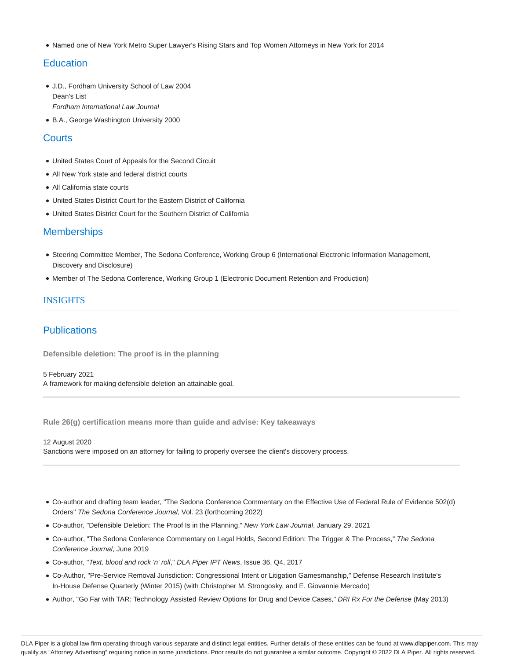• Named one of New York Metro Super Lawyer's Rising Stars and Top Women Attorneys in New York for 2014

# **Education**

- J.D., Fordham University School of Law 2004 Dean's List Fordham International Law Journal
- B.A., George Washington University 2000

## **Courts**

- United States Court of Appeals for the Second Circuit
- All New York state and federal district courts
- All California state courts
- United States District Court for the Eastern District of California
- United States District Court for the Southern District of California

## **Memberships**

- Steering Committee Member, The Sedona Conference, Working Group 6 (International Electronic Information Management, Discovery and Disclosure)
- Member of The Sedona Conference, Working Group 1 (Electronic Document Retention and Production)

#### **INSIGHTS**

# **Publications**

**Defensible deletion: The proof is in the planning**

5 February 2021 A framework for making defensible deletion an attainable goal.

**Rule 26(g) certification means more than guide and advise: Key takeaways**

12 August 2020

Sanctions were imposed on an attorney for failing to properly oversee the client's discovery process.

- Co-author and drafting team leader, "The Sedona Conference Commentary on the Effective Use of Federal Rule of Evidence 502(d) Orders" The Sedona Conference Journal, Vol. 23 (forthcoming 2022)
- Co-author, "Defensible Deletion: The Proof Is in the Planning," New York Law Journal, January 29, 2021
- Co-author, "The Sedona Conference Commentary on Legal Holds, Second Edition: The Trigger & The Process," The Sedona Conference Journal, June 2019
- Co-author, "Text, blood and rock 'n' roll," DLA Piper IPT News, Issue 36, Q4, 2017
- Co-Author, "Pre-Service Removal Jurisdiction: Congressional Intent or Litigation Gamesmanship," Defense Research Institute's In-House Defense Quarterly (Winter 2015) (with Christopher M. Strongosky, and E. Giovannie Mercado)
- Author, "Go Far with TAR: Technology Assisted Review Options for Drug and Device Cases," DRI Rx For the Defense (May 2013)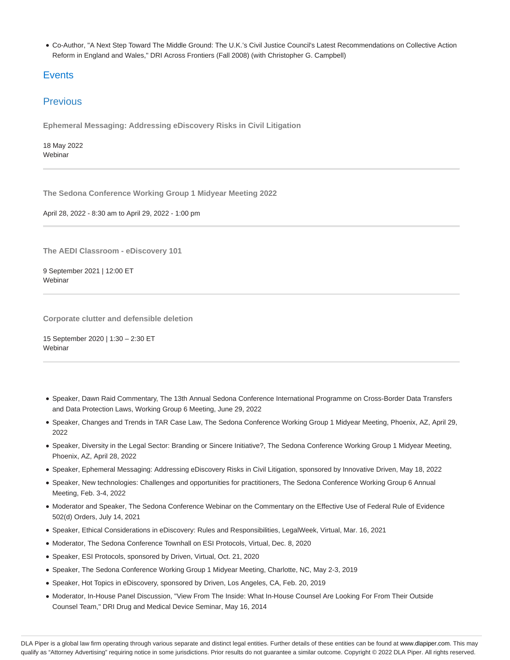Co-Author, "A Next Step Toward The Middle Ground: The U.K.'s Civil Justice Council's Latest Recommendations on Collective Action Reform in England and Wales," DRI Across Frontiers (Fall 2008) (with Christopher G. Campbell)

# **Events**

# Previous

**Ephemeral Messaging: Addressing eDiscovery Risks in Civil Litigation**

18 May 2022 **Webinar** 

**The Sedona Conference Working Group 1 Midyear Meeting 2022**

April 28, 2022 - 8:30 am to April 29, 2022 - 1:00 pm

**The AEDI Classroom - eDiscovery 101**

9 September 2021 | 12:00 ET Webinar

**Corporate clutter and defensible deletion**

15 September 2020 | 1:30 – 2:30 ET **Webinar** 

- Speaker, Dawn Raid Commentary, The 13th Annual Sedona Conference International Programme on Cross-Border Data Transfers and Data Protection Laws, Working Group 6 Meeting, June 29, 2022
- Speaker, Changes and Trends in TAR Case Law, The Sedona Conference Working Group 1 Midyear Meeting, Phoenix, AZ, April 29, 2022
- Speaker, Diversity in the Legal Sector: Branding or Sincere Initiative?, The Sedona Conference Working Group 1 Midyear Meeting, Phoenix, AZ, April 28, 2022
- Speaker, Ephemeral Messaging: Addressing eDiscovery Risks in Civil Litigation, sponsored by Innovative Driven, May 18, 2022
- Speaker, New technologies: Challenges and opportunities for practitioners, The Sedona Conference Working Group 6 Annual Meeting, Feb. 3-4, 2022
- Moderator and Speaker, The Sedona Conference Webinar on the Commentary on the Effective Use of Federal Rule of Evidence 502(d) Orders, July 14, 2021
- Speaker, Ethical Considerations in eDiscovery: Rules and Responsibilities, LegalWeek, Virtual, Mar. 16, 2021
- Moderator, The Sedona Conference Townhall on ESI Protocols, Virtual, Dec. 8, 2020
- Speaker, ESI Protocols, sponsored by Driven, Virtual, Oct. 21, 2020
- Speaker, The Sedona Conference Working Group 1 Midyear Meeting, Charlotte, NC, May 2-3, 2019
- Speaker, Hot Topics in eDiscovery, sponsored by Driven, Los Angeles, CA, Feb. 20, 2019
- Moderator, In-House Panel Discussion, "View From The Inside: What In-House Counsel Are Looking For From Their Outside Counsel Team," DRI Drug and Medical Device Seminar, May 16, 2014